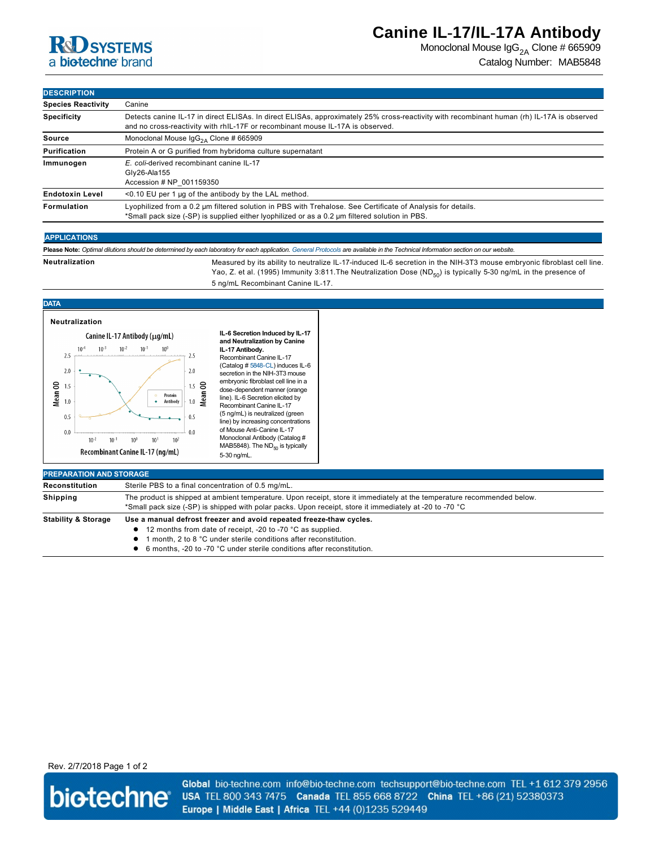### **RdD** SYSTEMS a biotechne brand

## **Canine IL-17/IL-17A Antibody**

Monoclonal Mouse  $\text{lgG}_{2A}$  Clone # 665909 Catalog Number: MAB5848

### **DESCRIPTION**

| <b>Species Reactivity</b> | Canine                                                                                                                                                                                                                       |
|---------------------------|------------------------------------------------------------------------------------------------------------------------------------------------------------------------------------------------------------------------------|
| <b>Specificity</b>        | Detects canine IL-17 in direct ELISAs. In direct ELISAs, approximately 25% cross-reactivity with recombinant human (rh) IL-17A is observed<br>and no cross-reactivity with rhIL-17F or recombinant mouse IL-17A is observed. |
| Source                    | Monoclonal Mouse $\lg G_{24}$ Clone # 665909                                                                                                                                                                                 |
| Purification              | Protein A or G purified from hybridoma culture supernatant                                                                                                                                                                   |
| Immunogen                 | E. coli-derived recombinant canine IL-17<br>Gly26-Ala155<br>Accession # NP 001159350                                                                                                                                         |
| <b>Endotoxin Level</b>    | $<$ 0.10 EU per 1 µg of the antibody by the LAL method.                                                                                                                                                                      |
| Formulation               | Lyophilized from a 0.2 µm filtered solution in PBS with Trehalose. See Certificate of Analysis for details.<br>*Small pack size (-SP) is supplied either lyophilized or as a 0.2 µm filtered solution in PBS.                |

#### **APPLICATIONS**

**Please Note:** *Optimal dilutions should be determined by each laboratory for each application. [General Protocols](http://www.rndsystems.com/resources/protocols-troubleshooting-guides) are available in the Technical Information section on our website.*

Neutralization **Measured by its ability to neutralize IL-17-induced IL-6 secretion in the NIH-3T3 mouse embryonic fibroblast cell line.** Yao, Z. et al. (1995) Immunity 3:811. The Neutralization Dose (ND<sub>50</sub>) is typically 5-30 ng/mL in the presence of 5 ng/mL Recombinant Canine IL-17.





**IL-6 Secretion Induced by IL-17 and Neutralization by Canine IL-17 Antibody.** Recombinant Canine IL-17 (Catalog  $\#$  5848-CL) induces IL-6 secretion in the NIH-3T3 mouse embryonic fibroblast cell line in a dose-dependent manner (orange line). IL-6 Secretion elicited by Recombinant Canine IL-17 (5 ng/mL) is neutralized (green line) by increasing concentrations of Mouse Anti-Canine IL-17 Monoclonal Antibody (Catalog # MAB5848). The  $ND_{50}$  is typically

| <b>PREPARATION AND STORAGE</b> |                                                                                                                                                                                                                                    |
|--------------------------------|------------------------------------------------------------------------------------------------------------------------------------------------------------------------------------------------------------------------------------|
| Reconstitution                 | Sterile PBS to a final concentration of 0.5 mg/mL.                                                                                                                                                                                 |
| <b>Shipping</b>                | The product is shipped at ambient temperature. Upon receipt, store it immediately at the temperature recommended below.<br>*Small pack size (-SP) is shipped with polar packs. Upon receipt, store it immediately at -20 to -70 °C |
| <b>Stability &amp; Storage</b> | Use a manual defrost freezer and avoid repeated freeze-thaw cycles.                                                                                                                                                                |
|                                | 12 months from date of receipt, -20 to -70 °C as supplied.                                                                                                                                                                         |
|                                | month. 2 to 8 °C under sterile conditions after reconstitution.                                                                                                                                                                    |
|                                | 6 months, -20 to -70 °C under sterile conditions after reconstitution.                                                                                                                                                             |

Rev. 2/7/2018 Page 1 of 2



Global bio-techne.com info@bio-techne.com techsupport@bio-techne.com TEL +1 612 379 2956 USA TEL 800 343 7475 Canada TEL 855 668 8722 China TEL +86 (21) 52380373 Europe | Middle East | Africa TEL +44 (0)1235 529449